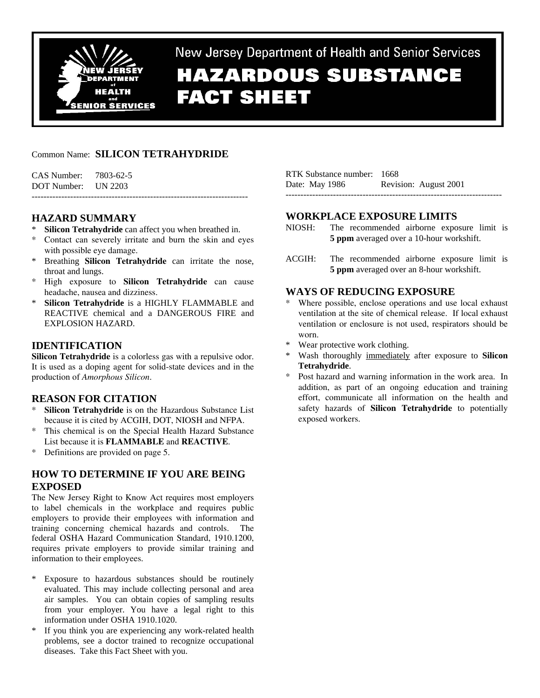

New Jersey Department of Health and Senior Services

# **HAZARDOUS SUBSTANCE FACT SHEET**

# Common Name: **SILICON TETRAHYDRIDE**

-------------------------------------------------------------------------

CAS Number: 7803-62-5 DOT Number: UN 2203

# **HAZARD SUMMARY**

- **Silicon Tetrahydride** can affect you when breathed in.
- Contact can severely irritate and burn the skin and eyes with possible eye damage.
- \* Breathing **Silicon Tetrahydride** can irritate the nose, throat and lungs.
- \* High exposure to **Silicon Tetrahydride** can cause headache, nausea and dizziness.
- \* **Silicon Tetrahydride** is a HIGHLY FLAMMABLE and REACTIVE chemical and a DANGEROUS FIRE and EXPLOSION HAZARD.

# **IDENTIFICATION**

**Silicon Tetrahydride** is a colorless gas with a repulsive odor. It is used as a doping agent for solid-state devices and in the production of *Amorphous Silicon*.

# **REASON FOR CITATION**

- Silicon Tetrahydride is on the Hazardous Substance List because it is cited by ACGIH, DOT, NIOSH and NFPA.
- \* This chemical is on the Special Health Hazard Substance List because it is **FLAMMABLE** and **REACTIVE**.
- \* Definitions are provided on page 5.

# **HOW TO DETERMINE IF YOU ARE BEING EXPOSED**

The New Jersey Right to Know Act requires most employers to label chemicals in the workplace and requires public employers to provide their employees with information and training concerning chemical hazards and controls. The federal OSHA Hazard Communication Standard, 1910.1200, requires private employers to provide similar training and information to their employees.

- \* Exposure to hazardous substances should be routinely evaluated. This may include collecting personal and area air samples. You can obtain copies of sampling results from your employer. You have a legal right to this information under OSHA 1910.1020.
- \* If you think you are experiencing any work-related health problems, see a doctor trained to recognize occupational diseases. Take this Fact Sheet with you.

| RTK Substance number: 1668 |                       |
|----------------------------|-----------------------|
| Date: May 1986             | Revision: August 2001 |
|                            |                       |

# **WORKPLACE EXPOSURE LIMITS**

- NIOSH: The recommended airborne exposure limit is **5 ppm** averaged over a 10-hour workshift.
- ACGIH: The recommended airborne exposure limit is **5 ppm** averaged over an 8-hour workshift.

# **WAYS OF REDUCING EXPOSURE**

- \* Where possible, enclose operations and use local exhaust ventilation at the site of chemical release. If local exhaust ventilation or enclosure is not used, respirators should be worn.
- \* Wear protective work clothing.
- \* Wash thoroughly immediately after exposure to **Silicon Tetrahydride**.
- Post hazard and warning information in the work area. In addition, as part of an ongoing education and training effort, communicate all information on the health and safety hazards of **Silicon Tetrahydride** to potentially exposed workers.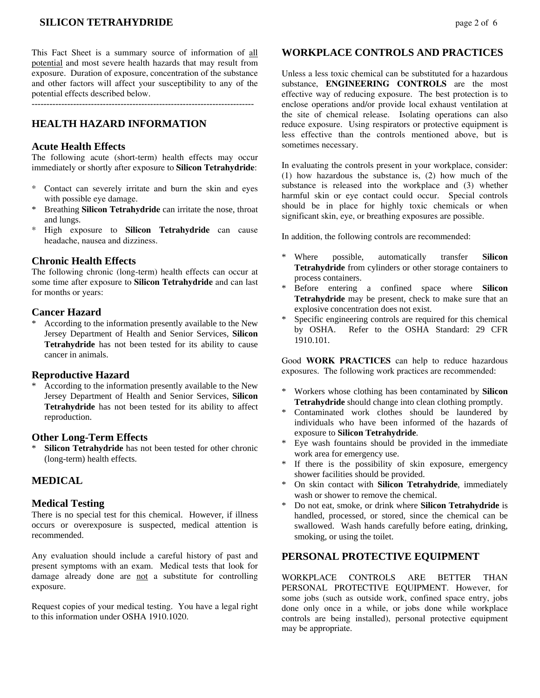# **SILICON TETRAHYDRIDE** page 2 of 6

This Fact Sheet is a summary source of information of all potential and most severe health hazards that may result from exposure. Duration of exposure, concentration of the substance and other factors will affect your susceptibility to any of the potential effects described below.

 $-$ 

# **HEALTH HAZARD INFORMATION**

#### **Acute Health Effects**

The following acute (short-term) health effects may occur immediately or shortly after exposure to **Silicon Tetrahydride**:

- \* Contact can severely irritate and burn the skin and eyes with possible eye damage.
- \* Breathing **Silicon Tetrahydride** can irritate the nose, throat and lungs.
- \* High exposure to **Silicon Tetrahydride** can cause headache, nausea and dizziness.

#### **Chronic Health Effects**

The following chronic (long-term) health effects can occur at some time after exposure to **Silicon Tetrahydride** and can last for months or years:

### **Cancer Hazard**

\* According to the information presently available to the New Jersey Department of Health and Senior Services, **Silicon Tetrahydride** has not been tested for its ability to cause cancer in animals.

#### **Reproductive Hazard**

According to the information presently available to the New Jersey Department of Health and Senior Services, **Silicon Tetrahydride** has not been tested for its ability to affect reproduction.

#### **Other Long-Term Effects**

\* **Silicon Tetrahydride** has not been tested for other chronic (long-term) health effects.

## **MEDICAL**

#### **Medical Testing**

There is no special test for this chemical. However, if illness occurs or overexposure is suspected, medical attention is recommended.

Any evaluation should include a careful history of past and present symptoms with an exam. Medical tests that look for damage already done are not a substitute for controlling exposure.

Request copies of your medical testing. You have a legal right to this information under OSHA 1910.1020.

#### **WORKPLACE CONTROLS AND PRACTICES**

Unless a less toxic chemical can be substituted for a hazardous substance, **ENGINEERING CONTROLS** are the most effective way of reducing exposure. The best protection is to enclose operations and/or provide local exhaust ventilation at the site of chemical release. Isolating operations can also reduce exposure. Using respirators or protective equipment is less effective than the controls mentioned above, but is sometimes necessary.

In evaluating the controls present in your workplace, consider: (1) how hazardous the substance is, (2) how much of the substance is released into the workplace and (3) whether harmful skin or eye contact could occur. Special controls should be in place for highly toxic chemicals or when significant skin, eye, or breathing exposures are possible.

In addition, the following controls are recommended:

- \* Where possible, automatically transfer **Silicon Tetrahydride** from cylinders or other storage containers to process containers.
- \* Before entering a confined space where **Silicon Tetrahydride** may be present, check to make sure that an explosive concentration does not exist.
- Specific engineering controls are required for this chemical by OSHA. Refer to the OSHA Standard: 29 CFR 1910.101.

Good **WORK PRACTICES** can help to reduce hazardous exposures. The following work practices are recommended:

- \* Workers whose clothing has been contaminated by **Silicon Tetrahydride** should change into clean clothing promptly.
- \* Contaminated work clothes should be laundered by individuals who have been informed of the hazards of exposure to **Silicon Tetrahydride**.
- Eye wash fountains should be provided in the immediate work area for emergency use.
- If there is the possibility of skin exposure, emergency shower facilities should be provided.
- On skin contact with **Silicon Tetrahydride**, immediately wash or shower to remove the chemical.
- \* Do not eat, smoke, or drink where **Silicon Tetrahydride** is handled, processed, or stored, since the chemical can be swallowed. Wash hands carefully before eating, drinking, smoking, or using the toilet.

#### **PERSONAL PROTECTIVE EQUIPMENT**

WORKPLACE CONTROLS ARE BETTER THAN PERSONAL PROTECTIVE EQUIPMENT. However, for some jobs (such as outside work, confined space entry, jobs done only once in a while, or jobs done while workplace controls are being installed), personal protective equipment may be appropriate.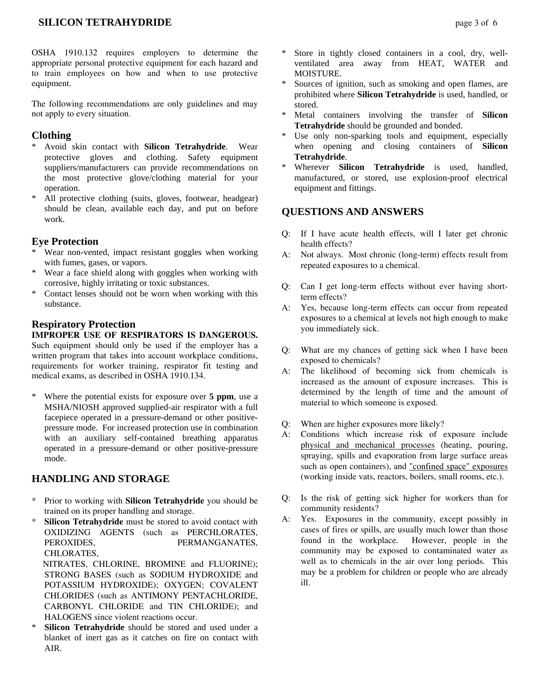# **SILICON TETRAHYDRIDE** page 3 of 6

The following recommendations are only guidelines and may not apply to every situation.

# **Clothing**

- \* Avoid skin contact with **Silicon Tetrahydride**. Wear protective gloves and clothing. Safety equipment suppliers/manufacturers can provide recommendations on the most protective glove/clothing material for your operation.
- \* All protective clothing (suits, gloves, footwear, headgear) should be clean, available each day, and put on before work.

## **Eye Protection**

- Wear non-vented, impact resistant goggles when working with fumes, gases, or vapors.
- \* Wear a face shield along with goggles when working with corrosive, highly irritating or toxic substances.
- \* Contact lenses should not be worn when working with this substance.

## **Respiratory Protection**

#### **IMPROPER USE OF RESPIRATORS IS DANGEROUS.** Such equipment should only be used if the employer has a written program that takes into account workplace conditions, requirements for worker training, respirator fit testing and medical exams, as described in OSHA 1910.134.

\* Where the potential exists for exposure over **5 ppm**, use a MSHA/NIOSH approved supplied-air respirator with a full facepiece operated in a pressure-demand or other positivepressure mode. For increased protection use in combination with an auxiliary self-contained breathing apparatus operated in a pressure-demand or other positive-pressure mode.

## **HANDLING AND STORAGE**

- \* Prior to working with **Silicon Tetrahydride** you should be trained on its proper handling and storage.
- \* **Silicon Tetrahydride** must be stored to avoid contact with OXIDIZING AGENTS (such as PERCHLORATES, PEROXIDES, PERMANGANATES, CHLORATES,

 NITRATES, CHLORINE, BROMINE and FLUORINE); STRONG BASES (such as SODIUM HYDROXIDE and POTASSIUM HYDROXIDE); OXYGEN; COVALENT CHLORIDES (such as ANTIMONY PENTACHLORIDE, CARBONYL CHLORIDE and TIN CHLORIDE); and HALOGENS since violent reactions occur.

\* **Silicon Tetrahydride** should be stored and used under a blanket of inert gas as it catches on fire on contact with AIR.

- Store in tightly closed containers in a cool, dry, wellventilated area away from HEAT, WATER and MOISTURE.
- Sources of ignition, such as smoking and open flames, are prohibited where **Silicon Tetrahydride** is used, handled, or stored.
- \* Metal containers involving the transfer of **Silicon Tetrahydride** should be grounded and bonded.
- \* Use only non-sparking tools and equipment, especially when opening and closing containers of **Silicon Tetrahydride**.
- \* Wherever **Silicon Tetrahydride** is used, handled, manufactured, or stored, use explosion-proof electrical equipment and fittings.

## **QUESTIONS AND ANSWERS**

- Q: If I have acute health effects, will I later get chronic health effects?
- A: Not always. Most chronic (long-term) effects result from repeated exposures to a chemical.
- Q: Can I get long-term effects without ever having shortterm effects?
- A: Yes, because long-term effects can occur from repeated exposures to a chemical at levels not high enough to make you immediately sick.
- Q: What are my chances of getting sick when I have been exposed to chemicals?
- A: The likelihood of becoming sick from chemicals is increased as the amount of exposure increases. This is determined by the length of time and the amount of material to which someone is exposed.
- Q: When are higher exposures more likely?
- A: Conditions which increase risk of exposure include physical and mechanical processes (heating, pouring, spraying, spills and evaporation from large surface areas such as open containers), and "confined space" exposures (working inside vats, reactors, boilers, small rooms, etc.).
- Q: Is the risk of getting sick higher for workers than for community residents?
- A: Yes. Exposures in the community, except possibly in cases of fires or spills, are usually much lower than those found in the workplace. However, people in the community may be exposed to contaminated water as well as to chemicals in the air over long periods. This may be a problem for children or people who are already ill.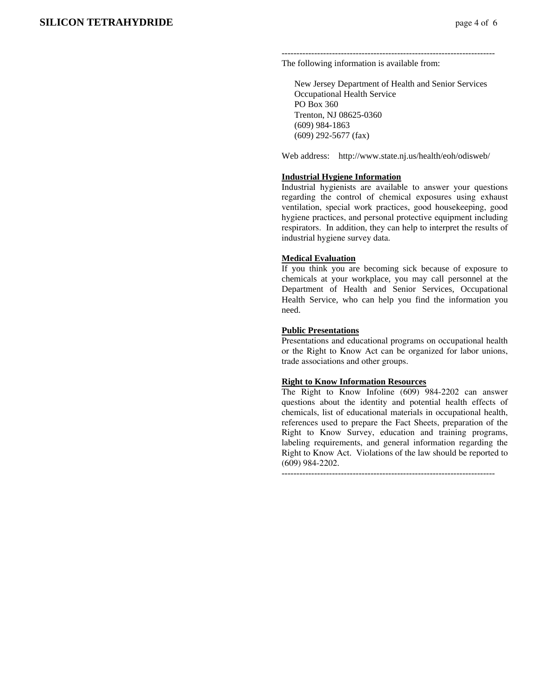------------------------------------------------------------------------

The following information is available from:

 New Jersey Department of Health and Senior Services Occupational Health Service PO Box 360 Trenton, NJ 08625-0360 (609) 984-1863 (609) 292-5677 (fax)

Web address: http://www.state.nj.us/health/eoh/odisweb/

#### **Industrial Hygiene Information**

Industrial hygienists are available to answer your questions regarding the control of chemical exposures using exhaust ventilation, special work practices, good housekeeping, good hygiene practices, and personal protective equipment including respirators. In addition, they can help to interpret the results of industrial hygiene survey data.

#### **Medical Evaluation**

If you think you are becoming sick because of exposure to chemicals at your workplace, you may call personnel at the Department of Health and Senior Services, Occupational Health Service, who can help you find the information you need.

#### **Public Presentations**

Presentations and educational programs on occupational health or the Right to Know Act can be organized for labor unions, trade associations and other groups.

## **Right to Know Information Resources**

The Right to Know Infoline (609) 984-2202 can answer questions about the identity and potential health effects of chemicals, list of educational materials in occupational health, references used to prepare the Fact Sheets, preparation of the Right to Know Survey, education and training programs, labeling requirements, and general information regarding the Right to Know Act. Violations of the law should be reported to (609) 984-2202.

------------------------------------------------------------------------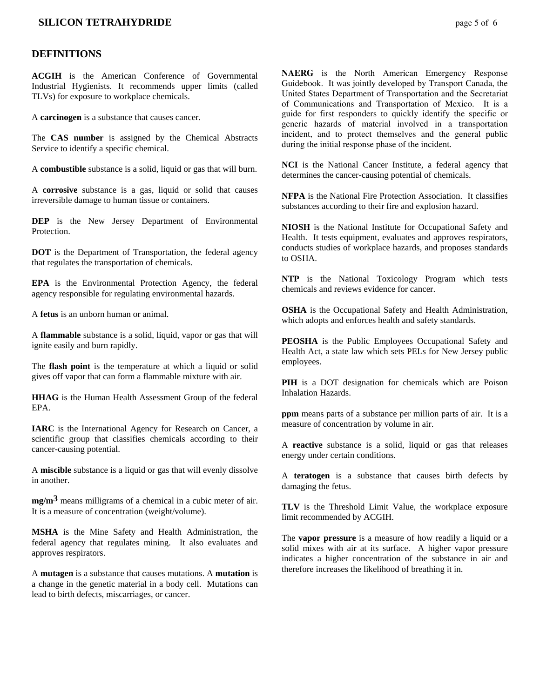## **SILICON TETRAHYDRIDE** page 5 of 6

#### **DEFINITIONS**

**ACGIH** is the American Conference of Governmental Industrial Hygienists. It recommends upper limits (called TLVs) for exposure to workplace chemicals.

A **carcinogen** is a substance that causes cancer.

The **CAS number** is assigned by the Chemical Abstracts Service to identify a specific chemical.

A **combustible** substance is a solid, liquid or gas that will burn.

A **corrosive** substance is a gas, liquid or solid that causes irreversible damage to human tissue or containers.

**DEP** is the New Jersey Department of Environmental **Protection** 

**DOT** is the Department of Transportation, the federal agency that regulates the transportation of chemicals.

**EPA** is the Environmental Protection Agency, the federal agency responsible for regulating environmental hazards.

A **fetus** is an unborn human or animal.

A **flammable** substance is a solid, liquid, vapor or gas that will ignite easily and burn rapidly.

The **flash point** is the temperature at which a liquid or solid gives off vapor that can form a flammable mixture with air.

**HHAG** is the Human Health Assessment Group of the federal EPA.

**IARC** is the International Agency for Research on Cancer, a scientific group that classifies chemicals according to their cancer-causing potential.

A **miscible** substance is a liquid or gas that will evenly dissolve in another.

**mg/m3** means milligrams of a chemical in a cubic meter of air. It is a measure of concentration (weight/volume).

**MSHA** is the Mine Safety and Health Administration, the federal agency that regulates mining. It also evaluates and approves respirators.

A **mutagen** is a substance that causes mutations. A **mutation** is a change in the genetic material in a body cell. Mutations can lead to birth defects, miscarriages, or cancer.

**NAERG** is the North American Emergency Response Guidebook. It was jointly developed by Transport Canada, the United States Department of Transportation and the Secretariat of Communications and Transportation of Mexico. It is a guide for first responders to quickly identify the specific or generic hazards of material involved in a transportation incident, and to protect themselves and the general public during the initial response phase of the incident.

**NCI** is the National Cancer Institute, a federal agency that determines the cancer-causing potential of chemicals.

**NFPA** is the National Fire Protection Association. It classifies substances according to their fire and explosion hazard.

**NIOSH** is the National Institute for Occupational Safety and Health. It tests equipment, evaluates and approves respirators, conducts studies of workplace hazards, and proposes standards to OSHA.

**NTP** is the National Toxicology Program which tests chemicals and reviews evidence for cancer.

**OSHA** is the Occupational Safety and Health Administration, which adopts and enforces health and safety standards.

**PEOSHA** is the Public Employees Occupational Safety and Health Act, a state law which sets PELs for New Jersey public employees.

**PIH** is a DOT designation for chemicals which are Poison Inhalation Hazards.

**ppm** means parts of a substance per million parts of air. It is a measure of concentration by volume in air.

A **reactive** substance is a solid, liquid or gas that releases energy under certain conditions.

A **teratogen** is a substance that causes birth defects by damaging the fetus.

**TLV** is the Threshold Limit Value, the workplace exposure limit recommended by ACGIH.

The **vapor pressure** is a measure of how readily a liquid or a solid mixes with air at its surface. A higher vapor pressure indicates a higher concentration of the substance in air and therefore increases the likelihood of breathing it in.